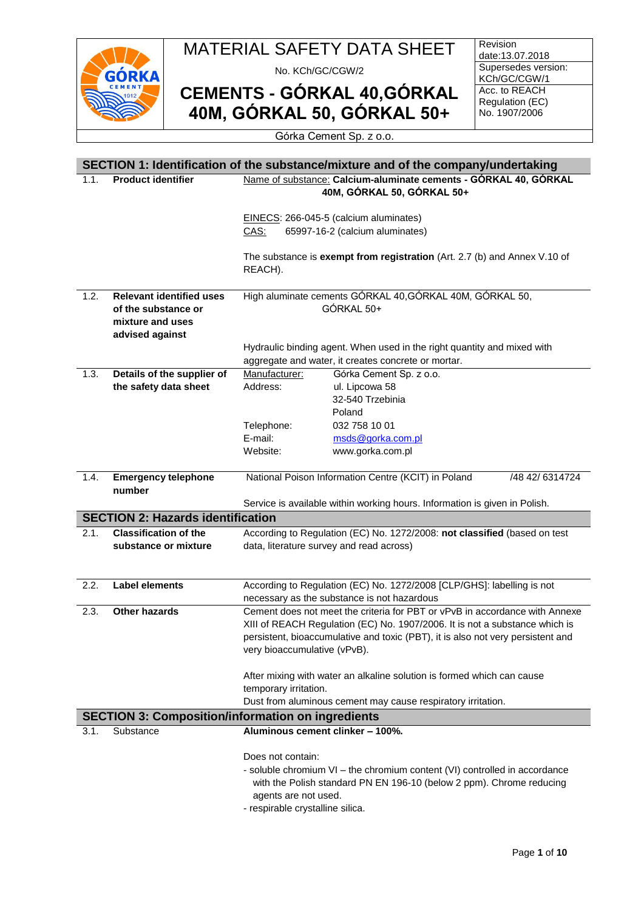

No. KCh/GC/CGW/2

**CEMENTS - GÓRKAL 40,GÓRKAL 40M, GÓRKAL 50, GÓRKAL 50+**

Revision date:13.07.2018 Supersedes version: KCh/GC/CGW/1 Acc. to REACH Regulation (EC) No. 1907/2006

#### Górka Cement Sp. z o.o.

|      |                                                          |                                                                  | SECTION 1: Identification of the substance/mixture and of the company/undertaking |                 |
|------|----------------------------------------------------------|------------------------------------------------------------------|-----------------------------------------------------------------------------------|-----------------|
| 1.1. | <b>Product identifier</b>                                | Name of substance: Calcium-aluminate cements - GÓRKAL 40, GÓRKAL |                                                                                   |                 |
|      |                                                          | 40M, GÓRKAL 50, GÓRKAL 50+                                       |                                                                                   |                 |
|      |                                                          |                                                                  |                                                                                   |                 |
|      |                                                          |                                                                  | EINECS: 266-045-5 (calcium aluminates)                                            |                 |
|      |                                                          | CAS:                                                             | 65997-16-2 (calcium aluminates)                                                   |                 |
|      |                                                          |                                                                  |                                                                                   |                 |
|      |                                                          |                                                                  | The substance is exempt from registration (Art. 2.7 (b) and Annex V.10 of         |                 |
|      |                                                          | REACH).                                                          |                                                                                   |                 |
|      |                                                          |                                                                  |                                                                                   |                 |
| 1.2. | <b>Relevant identified uses</b>                          |                                                                  | High aluminate cements GÓRKAL 40, GÓRKAL 40M, GÓRKAL 50,                          |                 |
|      | of the substance or                                      |                                                                  | GÓRKAL 50+                                                                        |                 |
|      | mixture and uses                                         |                                                                  |                                                                                   |                 |
|      | advised against                                          |                                                                  |                                                                                   |                 |
|      |                                                          |                                                                  | Hydraulic binding agent. When used in the right quantity and mixed with           |                 |
| 1.3. |                                                          | Manufacturer:                                                    | aggregate and water, it creates concrete or mortar.                               |                 |
|      | Details of the supplier of<br>the safety data sheet      | Address:                                                         | Górka Cement Sp. z o.o.<br>ul. Lipcowa 58                                         |                 |
|      |                                                          |                                                                  | 32-540 Trzebinia                                                                  |                 |
|      |                                                          |                                                                  | Poland                                                                            |                 |
|      |                                                          | Telephone:                                                       | 032 758 10 01                                                                     |                 |
|      |                                                          | E-mail:                                                          | msds@gorka.com.pl                                                                 |                 |
|      |                                                          | Website:                                                         | www.gorka.com.pl                                                                  |                 |
|      |                                                          |                                                                  |                                                                                   |                 |
| 1.4. | <b>Emergency telephone</b>                               |                                                                  | National Poison Information Centre (KCIT) in Poland                               | /48 42/ 6314724 |
|      | number                                                   |                                                                  |                                                                                   |                 |
|      |                                                          |                                                                  | Service is available within working hours. Information is given in Polish.        |                 |
|      | <b>SECTION 2: Hazards identification</b>                 |                                                                  |                                                                                   |                 |
| 2.1. | <b>Classification of the</b>                             |                                                                  | According to Regulation (EC) No. 1272/2008: not classified (based on test         |                 |
|      | substance or mixture                                     |                                                                  | data, literature survey and read across)                                          |                 |
|      |                                                          |                                                                  |                                                                                   |                 |
|      |                                                          |                                                                  |                                                                                   |                 |
| 2.2. | <b>Label elements</b>                                    |                                                                  | According to Regulation (EC) No. 1272/2008 [CLP/GHS]: labelling is not            |                 |
|      |                                                          |                                                                  | necessary as the substance is not hazardous                                       |                 |
| 2.3. | <b>Other hazards</b>                                     |                                                                  | Cement does not meet the criteria for PBT or vPvB in accordance with Annexe       |                 |
|      |                                                          |                                                                  | XIII of REACH Regulation (EC) No. 1907/2006. It is not a substance which is       |                 |
|      |                                                          |                                                                  | persistent, bioaccumulative and toxic (PBT), it is also not very persistent and   |                 |
|      |                                                          | very bioaccumulative (vPvB).                                     |                                                                                   |                 |
|      |                                                          |                                                                  |                                                                                   |                 |
|      |                                                          |                                                                  | After mixing with water an alkaline solution is formed which can cause            |                 |
|      |                                                          | temporary irritation.                                            | Dust from aluminous cement may cause respiratory irritation.                      |                 |
|      |                                                          |                                                                  |                                                                                   |                 |
|      | <b>SECTION 3: Composition/information on ingredients</b> |                                                                  |                                                                                   |                 |
| 3.1. | Substance                                                |                                                                  | Aluminous cement clinker - 100%.                                                  |                 |
|      |                                                          | Does not contain:                                                |                                                                                   |                 |
|      |                                                          |                                                                  | - soluble chromium VI - the chromium content (VI) controlled in accordance        |                 |
|      |                                                          |                                                                  | with the Polish standard PN EN 196-10 (below 2 ppm). Chrome reducing              |                 |
|      |                                                          | agents are not used.                                             |                                                                                   |                 |
|      |                                                          | - respirable crystalline silica.                                 |                                                                                   |                 |
|      |                                                          |                                                                  |                                                                                   |                 |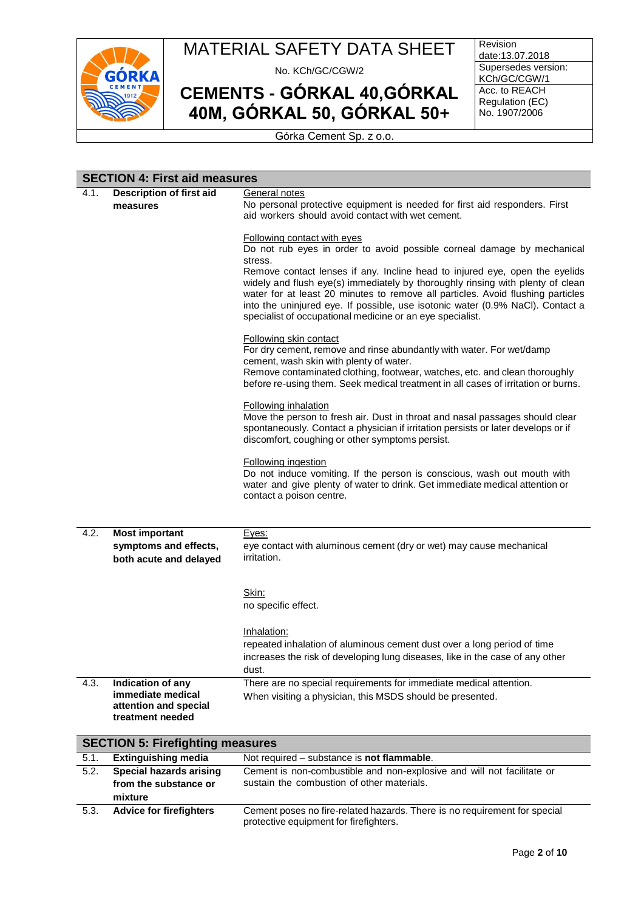

No. KCh/GC/CGW/2

**CEMENTS - GÓRKAL 40,GÓRKAL 40M, GÓRKAL 50, GÓRKAL 50+**

Revision date:13.07.2018 Supersedes version: KCh/GC/CGW/1 Acc. to REACH Regulation (EC) No. 1907/2006

Górka Cement Sp. z o.o.

#### **SECTION 4: First aid measures**

| 4.1. | Description of first aid                | General notes                                                                                                                   |
|------|-----------------------------------------|---------------------------------------------------------------------------------------------------------------------------------|
|      |                                         |                                                                                                                                 |
|      | measures                                | No personal protective equipment is needed for first aid responders. First<br>aid workers should avoid contact with wet cement. |
|      |                                         |                                                                                                                                 |
|      |                                         |                                                                                                                                 |
|      |                                         | <b>Following contact with eyes</b>                                                                                              |
|      |                                         | Do not rub eyes in order to avoid possible corneal damage by mechanical                                                         |
|      |                                         | stress.                                                                                                                         |
|      |                                         | Remove contact lenses if any. Incline head to injured eye, open the eyelids                                                     |
|      |                                         | widely and flush eye(s) immediately by thoroughly rinsing with plenty of clean                                                  |
|      |                                         | water for at least 20 minutes to remove all particles. Avoid flushing particles                                                 |
|      |                                         | into the uninjured eye. If possible, use isotonic water (0.9% NaCl). Contact a                                                  |
|      |                                         | specialist of occupational medicine or an eye specialist.                                                                       |
|      |                                         | Following skin contact                                                                                                          |
|      |                                         | For dry cement, remove and rinse abundantly with water. For wet/damp                                                            |
|      |                                         | cement, wash skin with plenty of water.                                                                                         |
|      |                                         | Remove contaminated clothing, footwear, watches, etc. and clean thoroughly                                                      |
|      |                                         | before re-using them. Seek medical treatment in all cases of irritation or burns.                                               |
|      |                                         |                                                                                                                                 |
|      |                                         | Following inhalation                                                                                                            |
|      |                                         | Move the person to fresh air. Dust in throat and nasal passages should clear                                                    |
|      |                                         | spontaneously. Contact a physician if irritation persists or later develops or if                                               |
|      |                                         | discomfort, coughing or other symptoms persist.                                                                                 |
|      |                                         |                                                                                                                                 |
|      |                                         | <b>Following ingestion</b>                                                                                                      |
|      |                                         | Do not induce vomiting. If the person is conscious, wash out mouth with                                                         |
|      |                                         | water and give plenty of water to drink. Get immediate medical attention or                                                     |
|      |                                         | contact a poison centre.                                                                                                        |
|      |                                         |                                                                                                                                 |
| 4.2. | <b>Most important</b>                   | Eyes:                                                                                                                           |
|      | symptoms and effects,                   | eye contact with aluminous cement (dry or wet) may cause mechanical                                                             |
|      | both acute and delayed                  | <i>irritation.</i>                                                                                                              |
|      |                                         |                                                                                                                                 |
|      |                                         |                                                                                                                                 |
|      |                                         | Skin:                                                                                                                           |
|      |                                         | no specific effect.                                                                                                             |
|      |                                         |                                                                                                                                 |
|      |                                         | Inhalation:                                                                                                                     |
|      |                                         | repeated inhalation of aluminous cement dust over a long period of time                                                         |
|      |                                         | increases the risk of developing lung diseases, like in the case of any other                                                   |
|      |                                         | dust.                                                                                                                           |
| 4.3. | Indication of any                       | There are no special requirements for immediate medical attention.                                                              |
|      | immediate medical                       | When visiting a physician, this MSDS should be presented.                                                                       |
|      | attention and special                   |                                                                                                                                 |
|      | treatment needed                        |                                                                                                                                 |
|      |                                         |                                                                                                                                 |
|      | <b>SECTION 5: Firefighting measures</b> |                                                                                                                                 |
| 5.1. | <b>Extinguishing media</b>              | Not required – substance is not flammable.                                                                                      |
| 5.2. | <b>Special hazards arising</b>          | Cement is non-combustible and non-explosive and will not facilitate or                                                          |
|      | from the substance or                   | sustain the combustion of other materials.                                                                                      |
|      | mivturo                                 |                                                                                                                                 |

**mixture** 5.3. **Advice for firefighters** Cement poses no fire-related hazards. There is no requirement for special protective equipment for firefighters.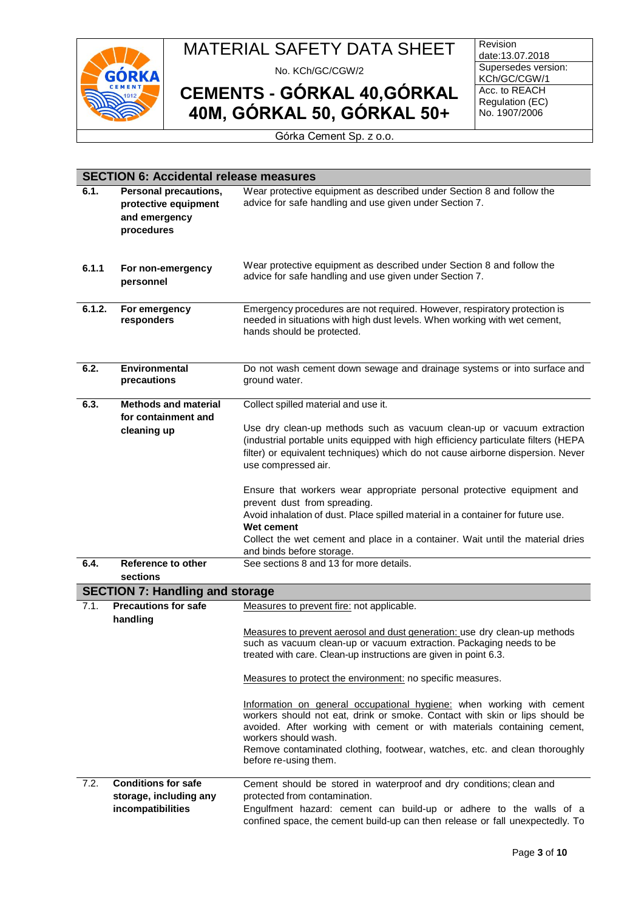

No. KCh/GC/CGW/2

**CEMENTS - GÓRKAL 40,GÓRKAL 40M, GÓRKAL 50, GÓRKAL 50+**

Revision date:13.07.2018 Supersedes version: KCh/GC/CGW/1 Acc. to REACH Regulation (EC) No. 1907/2006

Górka Cement Sp. z o.o.

|        | <b>SECTION 6: Accidental release measures</b>                                |                                                                                                                                                                                                                                                                                                                                                                |  |  |
|--------|------------------------------------------------------------------------------|----------------------------------------------------------------------------------------------------------------------------------------------------------------------------------------------------------------------------------------------------------------------------------------------------------------------------------------------------------------|--|--|
| 6.1.   | Personal precautions,<br>protective equipment<br>and emergency<br>procedures | Wear protective equipment as described under Section 8 and follow the<br>advice for safe handling and use given under Section 7.                                                                                                                                                                                                                               |  |  |
| 6.1.1  | For non-emergency<br>personnel                                               | Wear protective equipment as described under Section 8 and follow the<br>advice for safe handling and use given under Section 7.                                                                                                                                                                                                                               |  |  |
| 6.1.2. | For emergency<br>responders                                                  | Emergency procedures are not required. However, respiratory protection is<br>needed in situations with high dust levels. When working with wet cement,<br>hands should be protected.                                                                                                                                                                           |  |  |
| 6.2.   | <b>Environmental</b><br>precautions                                          | Do not wash cement down sewage and drainage systems or into surface and<br>ground water.                                                                                                                                                                                                                                                                       |  |  |
| 6.3.   | <b>Methods and material</b>                                                  | Collect spilled material and use it.                                                                                                                                                                                                                                                                                                                           |  |  |
|        | for containment and<br>cleaning up                                           | Use dry clean-up methods such as vacuum clean-up or vacuum extraction<br>(industrial portable units equipped with high efficiency particulate filters (HEPA<br>filter) or equivalent techniques) which do not cause airborne dispersion. Never<br>use compressed air.                                                                                          |  |  |
|        |                                                                              | Ensure that workers wear appropriate personal protective equipment and<br>prevent dust from spreading.<br>Avoid inhalation of dust. Place spilled material in a container for future use.<br>Wet cement<br>Collect the wet cement and place in a container. Wait until the material dries<br>and binds before storage.                                         |  |  |
| 6.4.   | Reference to other                                                           | See sections 8 and 13 for more details.                                                                                                                                                                                                                                                                                                                        |  |  |
|        | sections<br><b>SECTION 7: Handling and storage</b>                           |                                                                                                                                                                                                                                                                                                                                                                |  |  |
| 7.1.   | <b>Precautions for safe</b>                                                  | Measures to prevent fire: not applicable.                                                                                                                                                                                                                                                                                                                      |  |  |
|        | handling                                                                     | Measures to prevent aerosol and dust generation: use dry clean-up methods<br>such as vacuum clean-up or vacuum extraction. Packaging needs to be<br>treated with care. Clean-up instructions are given in point 6.3.                                                                                                                                           |  |  |
|        |                                                                              | Measures to protect the environment: no specific measures.                                                                                                                                                                                                                                                                                                     |  |  |
|        |                                                                              | Information on general occupational hygiene: when working with cement<br>workers should not eat, drink or smoke. Contact with skin or lips should be<br>avoided. After working with cement or with materials containing cement,<br>workers should wash.<br>Remove contaminated clothing, footwear, watches, etc. and clean thoroughly<br>before re-using them. |  |  |
| 7.2.   | <b>Conditions for safe</b><br>storage, including any<br>incompatibilities    | Cement should be stored in waterproof and dry conditions; clean and<br>protected from contamination.<br>Engulfment hazard: cement can build-up or adhere to the walls of a<br>confined space, the cement build-up can then release or fall unexpectedly. To                                                                                                    |  |  |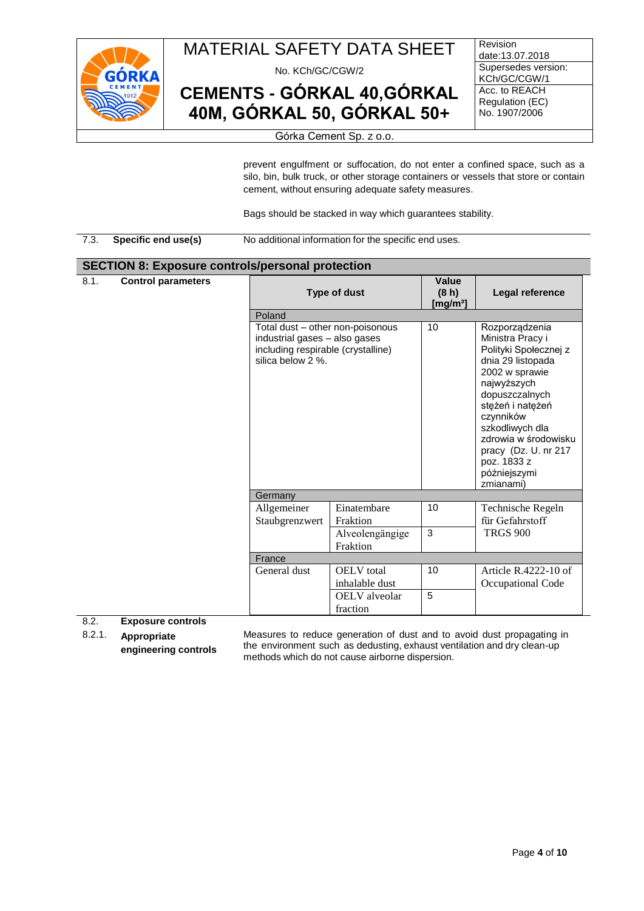

No. KCh/GC/CGW/2

**CEMENTS - GÓRKAL 40,GÓRKAL 40M, GÓRKAL 50, GÓRKAL 50+**

**Revision** date:13.07.2018 Supersedes version: KCh/GC/CGW/1 Acc. to REACH Regulation (EC) No. 1907/2006

#### Górka Cement Sp. z o.o.

prevent engulfment or suffocation, do not enter a confined space, such as a silo, bin, bulk truck, or other storage containers or vessels that store or contain cement, without ensuring adequate safety measures.

Bags should be stacked in way which guarantees stability.

#### 7.3. **Specific end use(s)** No additional information for the specific end uses.

#### **SECTION 8: Exposure controls/personal protection**

| 8.1.<br><b>Control parameters</b>    | Poland                                                                                                                       | <b>Type of dust</b>                 | <b>Value</b><br>(8 <sub>h</sub> )<br>[mg/m $^3$ ] | Legal reference                                                                                                                                                                                                                                                                     |  |
|--------------------------------------|------------------------------------------------------------------------------------------------------------------------------|-------------------------------------|---------------------------------------------------|-------------------------------------------------------------------------------------------------------------------------------------------------------------------------------------------------------------------------------------------------------------------------------------|--|
|                                      | Total dust - other non-poisonous<br>industrial gases - also gases<br>including respirable (crystalline)<br>silica below 2 %. |                                     | 10                                                | Rozporządzenia<br>Ministra Pracy i<br>Polityki Społecznej z<br>dnia 29 listopada<br>2002 w sprawie<br>najwyższych<br>dopuszczalnych<br>stężeń i natężeń<br>czynników<br>szkodliwych dla<br>zdrowia w środowisku<br>pracy (Dz. U. nr 217<br>poz. 1833 z<br>późniejszymi<br>zmianami) |  |
|                                      | Germany                                                                                                                      |                                     |                                                   |                                                                                                                                                                                                                                                                                     |  |
|                                      | Allgemeiner<br>Staubgrenzwert                                                                                                | Einatembare<br>Fraktion             | 10                                                | Technische Regeln<br>für Gefahrstoff                                                                                                                                                                                                                                                |  |
|                                      |                                                                                                                              | Alveolengängige<br>Fraktion         | 3                                                 | <b>TRGS 900</b>                                                                                                                                                                                                                                                                     |  |
|                                      | France                                                                                                                       |                                     |                                                   |                                                                                                                                                                                                                                                                                     |  |
|                                      | General dust                                                                                                                 | <b>OELV</b> total<br>inhalable dust | 10                                                | Article R.4222-10 of<br>Occupational Code                                                                                                                                                                                                                                           |  |
| $\circ$ $\circ$<br>Evnocuro controle |                                                                                                                              | OELV alveolar<br>fraction           | 5                                                 |                                                                                                                                                                                                                                                                                     |  |

8.2. **Exposure controls**

8.2.1. **Appropriate**

**engineering controls**

Measures to reduce generation of dust and to avoid dust propagating in the environment such as dedusting, exhaust ventilation and dry clean-up methods which do not cause airborne dispersion.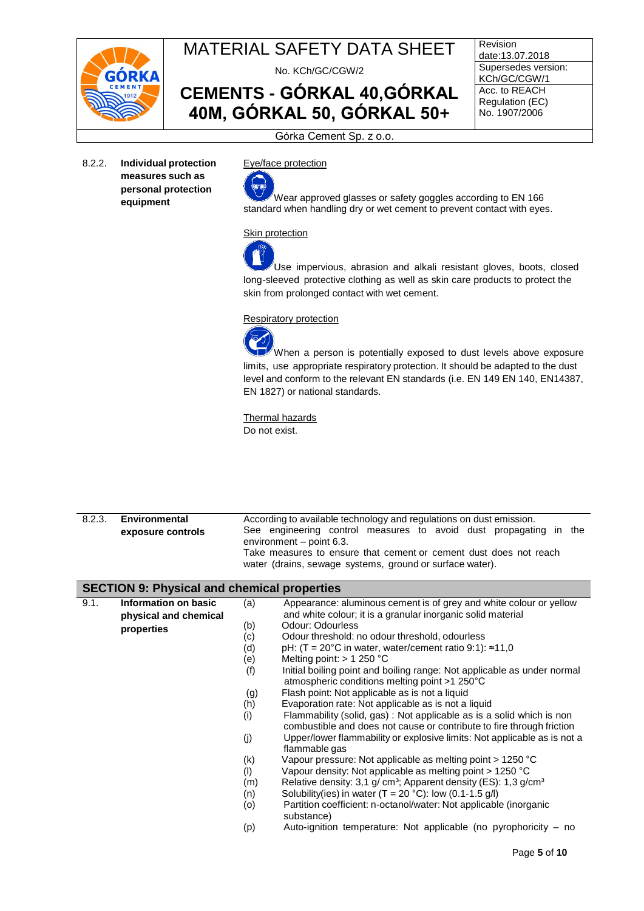

No. KCh/GC/CGW/2

**CEMENTS - GÓRKAL 40,GÓRKAL 40M, GÓRKAL 50, GÓRKAL 50+**

Revision date:13.07.2018 Supersedes version: KCh/GC/CGW/1 Acc. to REACH Regulation (EC) No. 1907/2006

Górka Cement Sp. z o.o.

8.2.2. **Individual protection measures such as personal protection equipment**

Eye/face protection



Wear approved glasses or safety goggles according to EN 166 standard when handling dry or wet cement to prevent contact with eyes.

#### Skin protection

Use impervious, abrasion and alkali resistant gloves, boots, closed long-sleeved protective clothing as well as skin care products to protect the skin from prolonged contact with wet cement.

#### Respiratory protection

When a person is potentially exposed to dust levels above exposure limits, use appropriate respiratory protection. It should be adapted to the dust level and conform to the relevant EN standards (i.e. EN 149 EN 140, EN14387, EN 1827) or national standards.

Thermal hazards Do not exist.

| 8.2.3. | <b>Environmental</b>                               |     | According to available technology and regulations on dust emission.                                                                            |
|--------|----------------------------------------------------|-----|------------------------------------------------------------------------------------------------------------------------------------------------|
|        | exposure controls                                  |     | See engineering control measures to avoid dust propagating in the<br>environment - point 6.3.                                                  |
|        |                                                    |     | Take measures to ensure that cement or cement dust does not reach                                                                              |
|        |                                                    |     | water (drains, sewage systems, ground or surface water).                                                                                       |
|        |                                                    |     |                                                                                                                                                |
|        | <b>SECTION 9: Physical and chemical properties</b> |     |                                                                                                                                                |
| 9.1.   | Information on basic                               | (a) | Appearance: aluminous cement is of grey and white colour or yellow                                                                             |
|        | physical and chemical                              |     | and white colour; it is a granular inorganic solid material                                                                                    |
|        | properties                                         | (b) | Odour: Odourless                                                                                                                               |
|        |                                                    | (c) | Odour threshold: no odour threshold, odourless                                                                                                 |
|        |                                                    | (d) | pH: $(T = 20^{\circ}C$ in water, water/cement ratio 9:1): $\approx 11,0$                                                                       |
|        |                                                    | (e) | Melting point: $> 1250$ °C                                                                                                                     |
|        |                                                    | (f) | Initial boiling point and boiling range: Not applicable as under normal<br>atmospheric conditions melting point >1 250°C                       |
|        |                                                    | (g) | Flash point: Not applicable as is not a liquid                                                                                                 |
|        |                                                    | (h) | Evaporation rate: Not applicable as is not a liquid                                                                                            |
|        |                                                    | (i) | Flammability (solid, gas) : Not applicable as is a solid which is non<br>combustible and does not cause or contribute to fire through friction |
|        |                                                    | (j) | Upper/lower flammability or explosive limits: Not applicable as is not a<br>flammable gas                                                      |
|        |                                                    | (k) | Vapour pressure: Not applicable as melting point > 1250 °C                                                                                     |
|        |                                                    | (1) | Vapour density: Not applicable as melting point > 1250 °C                                                                                      |
|        |                                                    | (m) | Relative density: 3,1 g/ cm <sup>3</sup> ; Apparent density (ES): 1,3 g/cm <sup>3</sup>                                                        |
|        |                                                    | (n) | Solubility(ies) in water $(T = 20 °C)$ : low $(0.1 - 1.5 g/l)$                                                                                 |
|        |                                                    | (0) | Partition coefficient: n-octanol/water: Not applicable (inorganic<br>substance)                                                                |
|        |                                                    | (p) | Auto-ignition temperature: Not applicable (no pyrophoricity - no                                                                               |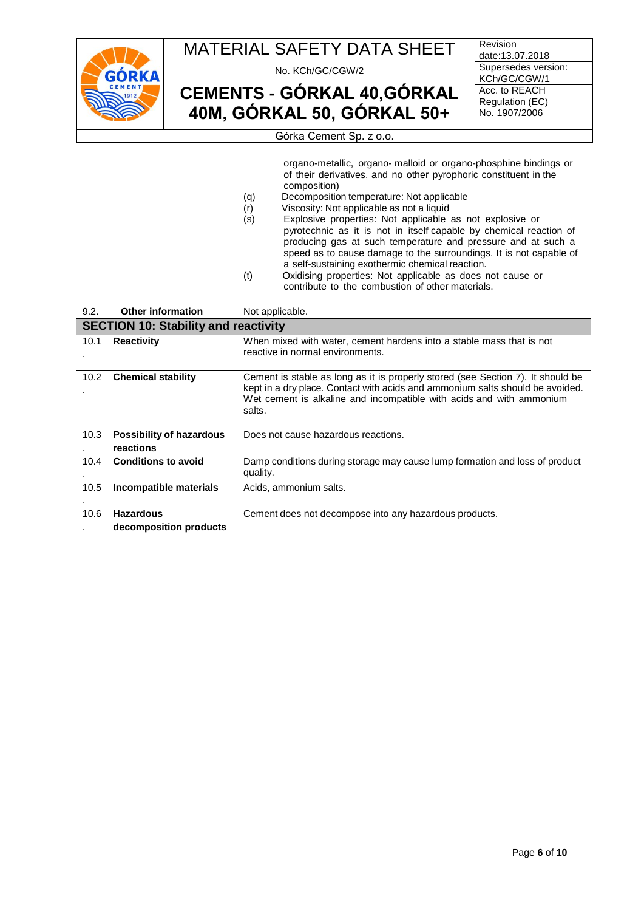

No. KCh/GC/CGW/2

**CEMENTS - GÓRKAL 40,GÓRKAL 40M, GÓRKAL 50, GÓRKAL 50+**

Revision date:13.07.2018 Supersedes version: KCh/GC/CGW/1 Acc. to REACH Regulation (EC) No. 1907/2006

Górka Cement Sp. z o.o.

organo-metallic, organo- malloid or organo-phosphine bindings or of their derivatives, and no other pyrophoric constituent in the composition)

- (q) Decomposition temperature: Not applicable
- (r) Viscosity: Not applicable as not a liquid<br>(s) Explosive properties: Not applicable
- Explosive properties: Not applicable as not explosive or pyrotechnic as it is not in itself capable by chemical reaction of producing gas at such temperature and pressure and at such a speed as to cause damage to the surroundings. It is not capable of a self-sustaining exothermic chemical reaction.
- (t) Oxidising properties: Not applicable as does not cause or contribute to the combustion of other materials.

| 9.2. | <b>Other information</b>                     | Not applicable.                                                                                                                                                                                                                                    |  |  |  |
|------|----------------------------------------------|----------------------------------------------------------------------------------------------------------------------------------------------------------------------------------------------------------------------------------------------------|--|--|--|
|      | <b>SECTION 10: Stability and reactivity</b>  |                                                                                                                                                                                                                                                    |  |  |  |
| 10.1 | <b>Reactivity</b>                            | When mixed with water, cement hardens into a stable mass that is not<br>reactive in normal environments.                                                                                                                                           |  |  |  |
| 10.2 | <b>Chemical stability</b>                    | Cement is stable as long as it is properly stored (see Section 7). It should be<br>kept in a dry place. Contact with acids and ammonium salts should be avoided.<br>Wet cement is alkaline and incompatible with acids and with ammonium<br>salts. |  |  |  |
| 10.3 | <b>Possibility of hazardous</b><br>reactions | Does not cause hazardous reactions.                                                                                                                                                                                                                |  |  |  |
| 10.4 | <b>Conditions to avoid</b>                   | Damp conditions during storage may cause lump formation and loss of product<br>quality.                                                                                                                                                            |  |  |  |
| 10.5 | Incompatible materials                       | Acids, ammonium salts.                                                                                                                                                                                                                             |  |  |  |
| 10.6 | <b>Hazardous</b><br>decomposition products   | Cement does not decompose into any hazardous products.                                                                                                                                                                                             |  |  |  |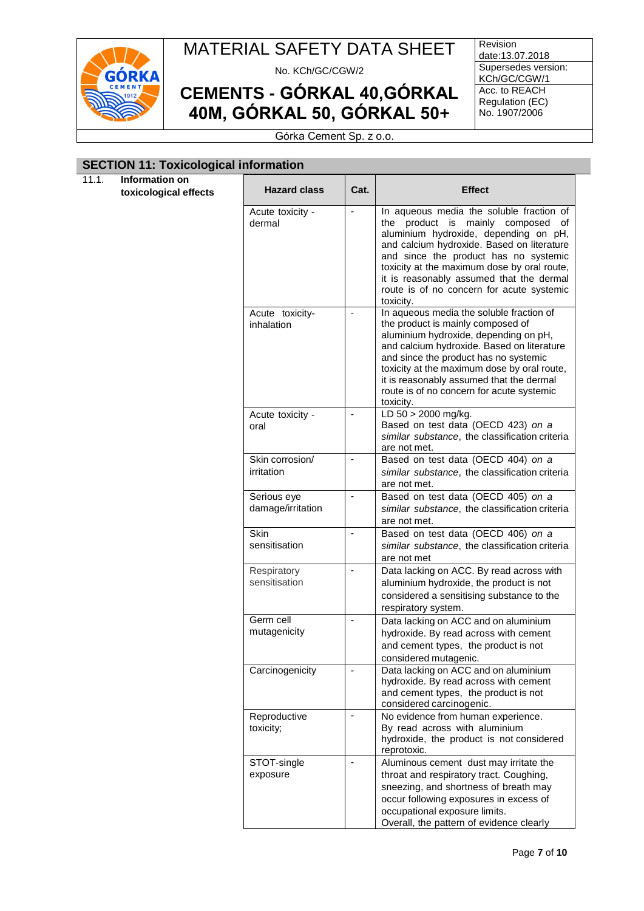

No. KCh/GC/CGW/2

**CEMENTS - GÓRKAL 40,GÓRKAL 40M, GÓRKAL 50, GÓRKAL 50+**

Revision date:13.07.2018 Supersedes version: KCh/GC/CGW/1 Acc. to REACH Regulation (EC) No. 1907/2006

Górka Cement Sp. z o.o.

#### **SECTION 11: Toxicological information**

11.1. **Information on toxicological effects** 

| <b>Hazard class</b>              | Cat.                     | <b>Effect</b>                                                                                                                                                                                                                                                                                                                                                                     |
|----------------------------------|--------------------------|-----------------------------------------------------------------------------------------------------------------------------------------------------------------------------------------------------------------------------------------------------------------------------------------------------------------------------------------------------------------------------------|
| Acute toxicity -<br>dermal       |                          | In aqueous media the soluble fraction of<br>mainly<br>product<br>is<br>composed<br>οf<br>the<br>aluminium hydroxide, depending on pH,<br>and calcium hydroxide. Based on literature<br>and since the product has no systemic<br>toxicity at the maximum dose by oral route,<br>it is reasonably assumed that the dermal<br>route is of no concern for acute systemic<br>toxicity. |
| Acute toxicity-<br>inhalation    |                          | In aqueous media the soluble fraction of<br>the product is mainly composed of<br>aluminium hydroxide, depending on pH,<br>and calcium hydroxide. Based on literature<br>and since the product has no systemic<br>toxicity at the maximum dose by oral route,<br>it is reasonably assumed that the dermal<br>route is of no concern for acute systemic<br>toxicity.                |
| Acute toxicity -<br>oral         | $\blacksquare$           | LD $50 > 2000$ mg/kg.<br>Based on test data (OECD 423) on a<br>similar substance, the classification criteria<br>are not met.                                                                                                                                                                                                                                                     |
| Skin corrosion/<br>irritation    | ۰                        | Based on test data (OECD 404) on a<br>similar substance, the classification criteria<br>are not met.                                                                                                                                                                                                                                                                              |
| Serious eye<br>damage/irritation | $\overline{\phantom{a}}$ | Based on test data (OECD 405) on a<br>similar substance, the classification criteria<br>are not met.                                                                                                                                                                                                                                                                              |
| Skin<br>sensitisation            |                          | Based on test data (OECD 406) on a<br>similar substance, the classification criteria<br>are not met                                                                                                                                                                                                                                                                               |
| Respiratory<br>sensitisation     | $\overline{a}$           | Data lacking on ACC. By read across with<br>aluminium hydroxide, the product is not<br>considered a sensitising substance to the<br>respiratory system.                                                                                                                                                                                                                           |
| Germ cell<br>mutagenicity        |                          | Data lacking on ACC and on aluminium<br>hydroxide. By read across with cement<br>and cement types, the product is not<br>considered mutagenic.                                                                                                                                                                                                                                    |
| Carcinogenicity                  |                          | Data lacking on ACC and on aluminium<br>hydroxide. By read across with cement<br>and cement types, the product is not<br>considered carcinogenic.                                                                                                                                                                                                                                 |
| Reproductive<br>toxicity;        |                          | No evidence from human experience.<br>By read across with aluminium<br>hydroxide, the product is not considered<br>reprotoxic.                                                                                                                                                                                                                                                    |
| STOT-single<br>exposure          |                          | Aluminous cement dust may irritate the<br>throat and respiratory tract. Coughing,<br>sneezing, and shortness of breath may<br>occur following exposures in excess of<br>occupational exposure limits.<br>Overall, the pattern of evidence clearly                                                                                                                                 |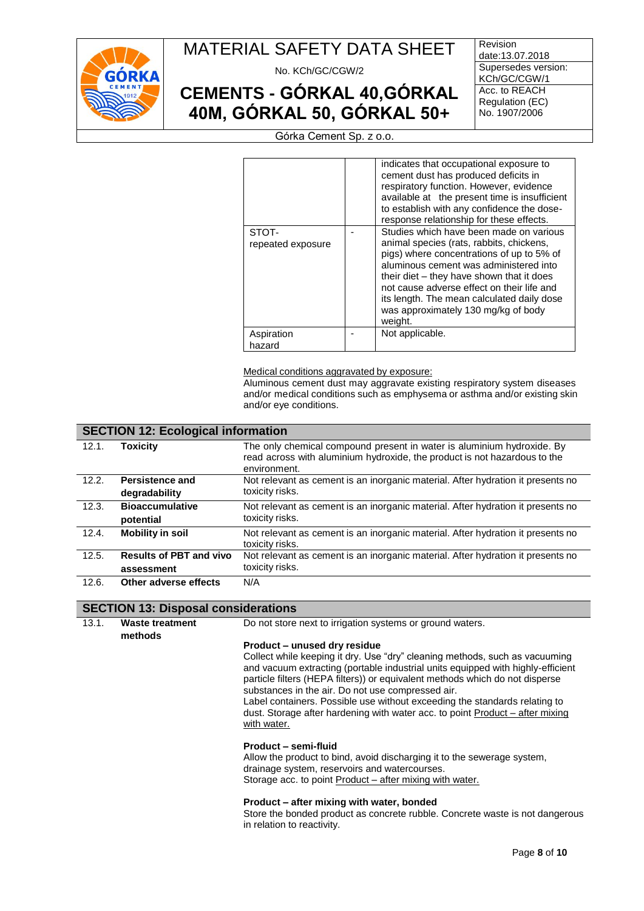

No. KCh/GC/CGW/2

# **CEMENTS - GÓRKAL 40,GÓRKAL 40M, GÓRKAL 50, GÓRKAL 50+**

Revision date:13.07.2018 Supersedes version: KCh/GC/CGW/1 Acc. to REACH Regulation (EC) No. 1907/2006

Górka Cement Sp. z o.o.

|                            | indicates that occupational exposure to<br>cement dust has produced deficits in<br>respiratory function. However, evidence<br>available at the present time is insufficient<br>to establish with any confidence the dose-<br>response relationship for these effects.                                                                                                 |
|----------------------------|-----------------------------------------------------------------------------------------------------------------------------------------------------------------------------------------------------------------------------------------------------------------------------------------------------------------------------------------------------------------------|
| STOT-<br>repeated exposure | Studies which have been made on various<br>animal species (rats, rabbits, chickens,<br>pigs) where concentrations of up to 5% of<br>aluminous cement was administered into<br>their diet – they have shown that it does<br>not cause adverse effect on their life and<br>its length. The mean calculated daily dose<br>was approximately 130 mg/kg of body<br>weight. |
| Aspiration<br>hazard       | Not applicable.                                                                                                                                                                                                                                                                                                                                                       |

Medical conditions aggravated by exposure:

Aluminous cement dust may aggravate existing respiratory system diseases and/or medical conditions such as emphysema or asthma and/or existing skin and/or eye conditions.

#### **SECTION 12: Ecological information** 12.1. **Toxicity** The only chemical compound present in water is aluminium hydroxide. By read across with aluminium hydroxide, the product is not hazardous to the environment. 12.2. **Persistence and degradability** Not relevant as cement is an inorganic material. After hydration it presents no toxicity risks. 12.3. **Bioaccumulative potential** Not relevant as cement is an inorganic material. After hydration it presents no toxicity risks. 12.4. **Mobility in soil** Not relevant as cement is an inorganic material. After hydration it presents no toxicity risks. 12.5. **Results of PBT and vivo assessment** Not relevant as cement is an inorganic material. After hydration it presents no toxicity risks. 12.6. **Other adverse effects** N/A

#### **SECTION 13: Disposal considerations**

13.1. **Waste treatment methods** Do not store next to irrigation systems or ground waters. **Product – unused dry residue** Collect while keeping it dry. Use "dry" cleaning methods, such as vacuuming and vacuum extracting (portable industrial units equipped with highly-efficient particle filters (HEPA filters)) or equivalent methods which do not disperse substances in the air. Do not use compressed air. Label containers. Possible use without exceeding the standards relating to dust. Storage after hardening with water acc. to point Product – after mixing with water.

#### **Product – semi-fluid**

Allow the product to bind, avoid discharging it to the sewerage system, drainage system, reservoirs and watercourses. Storage acc. to point Product – after mixing with water.

#### **Product – after mixing with water, bonded**

Store the bonded product as concrete rubble. Concrete waste is not dangerous in relation to reactivity.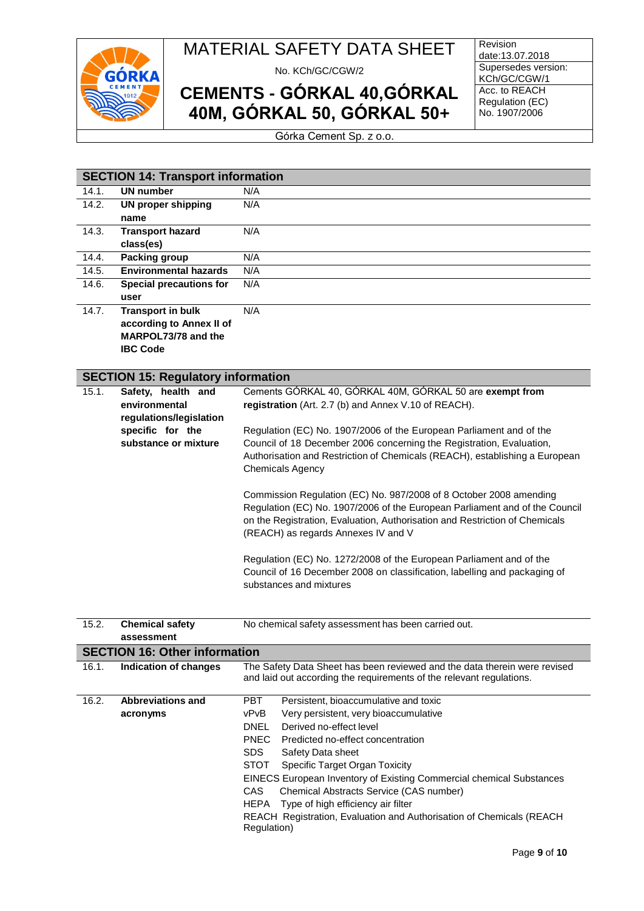

No. KCh/GC/CGW/2

# **CEMENTS - GÓRKAL 40,GÓRKAL 40M, GÓRKAL 50, GÓRKAL 50+**

**Revision** date:13.07.2018 Supersedes version: KCh/GC/CGW/1 Acc. to REACH Regulation (EC) No. 1907/2006

Górka Cement Sp. z o.o.

|       | <b>SECTION 14: Transport information</b>  |                                                                             |  |  |  |  |
|-------|-------------------------------------------|-----------------------------------------------------------------------------|--|--|--|--|
| 14.1. | <b>UN number</b>                          | N/A                                                                         |  |  |  |  |
| 14.2. | <b>UN proper shipping</b>                 | N/A                                                                         |  |  |  |  |
|       | name                                      |                                                                             |  |  |  |  |
| 14.3. | <b>Transport hazard</b>                   | N/A                                                                         |  |  |  |  |
|       | class(es)                                 |                                                                             |  |  |  |  |
| 14.4. | Packing group                             | N/A                                                                         |  |  |  |  |
| 14.5. | <b>Environmental hazards</b>              | N/A                                                                         |  |  |  |  |
| 14.6. | <b>Special precautions for</b>            | N/A                                                                         |  |  |  |  |
|       | user                                      |                                                                             |  |  |  |  |
| 14.7. | <b>Transport in bulk</b>                  | N/A                                                                         |  |  |  |  |
|       | according to Annex II of                  |                                                                             |  |  |  |  |
|       | MARPOL73/78 and the                       |                                                                             |  |  |  |  |
|       | <b>IBC Code</b>                           |                                                                             |  |  |  |  |
|       |                                           |                                                                             |  |  |  |  |
|       | <b>SECTION 15: Regulatory information</b> |                                                                             |  |  |  |  |
| 15.1. | Safety, health and                        | Cements GÓRKAL 40, GÓRKAL 40M, GÓRKAL 50 are exempt from                    |  |  |  |  |
|       | environmental                             | registration (Art. 2.7 (b) and Annex V.10 of REACH).                        |  |  |  |  |
|       | regulations/legislation                   |                                                                             |  |  |  |  |
|       | specific for the                          | Regulation (EC) No. 1907/2006 of the European Parliament and of the         |  |  |  |  |
|       | substance or mixture                      | Council of 18 December 2006 concerning the Registration, Evaluation,        |  |  |  |  |
|       |                                           | Authorisation and Restriction of Chemicals (REACH), establishing a European |  |  |  |  |

Regulation (EC) No. 1907/2006 of the European Parliament and of the Council on the Registration, Evaluation, Authorisation and Restriction of Chemicals (REACH) as regards Annexes IV and V Regulation (EC) No. 1272/2008 of the European Parliament and of the Council of 16 December 2008 on classification, labelling and packaging of substances and mixtures

Commission Regulation (EC) No. 987/2008 of 8 October 2008 amending

Chemicals Agency

| 15.2. | <b>Chemical safety</b><br>assessment | No chemical safety assessment has been carried out.                                                                                               |  |
|-------|--------------------------------------|---------------------------------------------------------------------------------------------------------------------------------------------------|--|
|       | <b>SECTION 16: Other information</b> |                                                                                                                                                   |  |
| 16.1. | Indication of changes                | The Safety Data Sheet has been reviewed and the data therein were revised<br>and laid out according the requirements of the relevant regulations. |  |
| 16.2. | <b>Abbreviations and</b>             | PBT.<br>Persistent, bioaccumulative and toxic                                                                                                     |  |
|       | acronyms                             | vPvB<br>Very persistent, very bioaccumulative                                                                                                     |  |
|       |                                      | <b>DNEL</b><br>Derived no-effect level                                                                                                            |  |
|       |                                      | <b>PNEC</b><br>Predicted no-effect concentration                                                                                                  |  |
|       |                                      | <b>SDS</b><br>Safety Data sheet                                                                                                                   |  |
|       |                                      | STOT<br>Specific Target Organ Toxicity                                                                                                            |  |
|       |                                      | <b>EINECS European Inventory of Existing Commercial chemical Substances</b>                                                                       |  |
|       |                                      | CAS.<br>Chemical Abstracts Service (CAS number)                                                                                                   |  |
|       |                                      | Type of high efficiency air filter<br>HEPA                                                                                                        |  |
|       |                                      | REACH Registration, Evaluation and Authorisation of Chemicals (REACH<br>Regulation)                                                               |  |